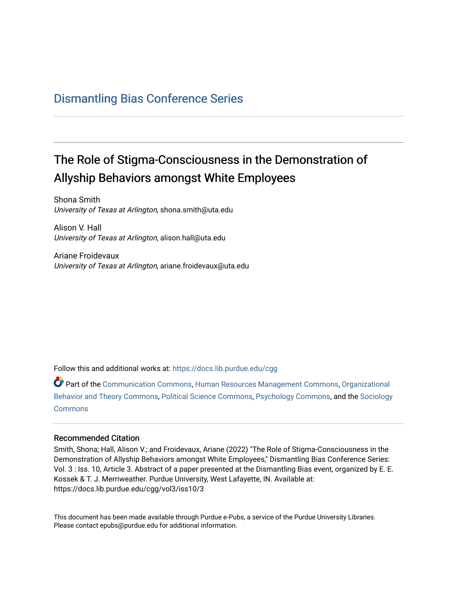### [Dismantling Bias Conference Series](https://docs.lib.purdue.edu/cgg)

# The Role of Stigma-Consciousness in the Demonstration of Allyship Behaviors amongst White Employees

Shona Smith University of Texas at Arlington, shona.smith@uta.edu

Alison V. Hall University of Texas at Arlington, alison.hall@uta.edu

Ariane Froidevaux University of Texas at Arlington, ariane.froidevaux@uta.edu

Follow this and additional works at: [https://docs.lib.purdue.edu/cgg](https://docs.lib.purdue.edu/cgg?utm_source=docs.lib.purdue.edu%2Fcgg%2Fvol3%2Fiss10%2F3&utm_medium=PDF&utm_campaign=PDFCoverPages)

Part of the [Communication Commons,](https://network.bepress.com/hgg/discipline/325?utm_source=docs.lib.purdue.edu%2Fcgg%2Fvol3%2Fiss10%2F3&utm_medium=PDF&utm_campaign=PDFCoverPages) [Human Resources Management Commons,](https://network.bepress.com/hgg/discipline/633?utm_source=docs.lib.purdue.edu%2Fcgg%2Fvol3%2Fiss10%2F3&utm_medium=PDF&utm_campaign=PDFCoverPages) [Organizational](https://network.bepress.com/hgg/discipline/639?utm_source=docs.lib.purdue.edu%2Fcgg%2Fvol3%2Fiss10%2F3&utm_medium=PDF&utm_campaign=PDFCoverPages) [Behavior and Theory Commons,](https://network.bepress.com/hgg/discipline/639?utm_source=docs.lib.purdue.edu%2Fcgg%2Fvol3%2Fiss10%2F3&utm_medium=PDF&utm_campaign=PDFCoverPages) [Political Science Commons,](https://network.bepress.com/hgg/discipline/386?utm_source=docs.lib.purdue.edu%2Fcgg%2Fvol3%2Fiss10%2F3&utm_medium=PDF&utm_campaign=PDFCoverPages) [Psychology Commons,](https://network.bepress.com/hgg/discipline/404?utm_source=docs.lib.purdue.edu%2Fcgg%2Fvol3%2Fiss10%2F3&utm_medium=PDF&utm_campaign=PDFCoverPages) and the [Sociology](https://network.bepress.com/hgg/discipline/416?utm_source=docs.lib.purdue.edu%2Fcgg%2Fvol3%2Fiss10%2F3&utm_medium=PDF&utm_campaign=PDFCoverPages) **[Commons](https://network.bepress.com/hgg/discipline/416?utm_source=docs.lib.purdue.edu%2Fcgg%2Fvol3%2Fiss10%2F3&utm_medium=PDF&utm_campaign=PDFCoverPages)** 

#### Recommended Citation

Smith, Shona; Hall, Alison V.; and Froidevaux, Ariane (2022) "The Role of Stigma-Consciousness in the Demonstration of Allyship Behaviors amongst White Employees," Dismantling Bias Conference Series: Vol. 3 : Iss. 10, Article 3. Abstract of a paper presented at the Dismantling Bias event, organized by E. E. Kossek & T. J. Merriweather. Purdue University, West Lafayette, IN. Available at: https://docs.lib.purdue.edu/cgg/vol3/iss10/3

This document has been made available through Purdue e-Pubs, a service of the Purdue University Libraries. Please contact epubs@purdue.edu for additional information.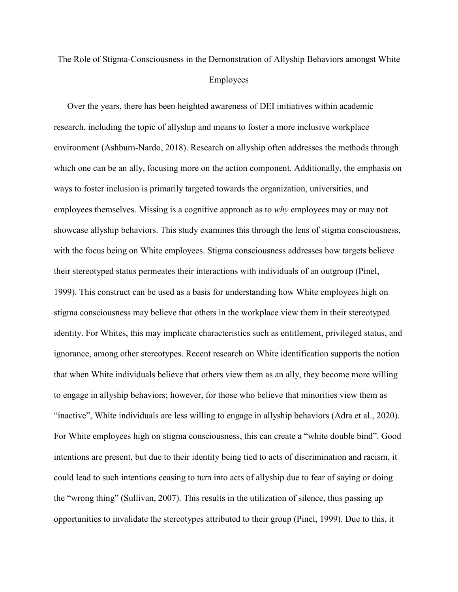## The Role of Stigma-Consciousness in the Demonstration of Allyship Behaviors amongst White Employees

 Over the years, there has been heighted awareness of DEI initiatives within academic environment (Ashburn-Nardo, 2018). Research on allyship often addresses the methods through which one can be an ally, focusing more on the action component. Additionally, the emphasis on intentions are present, but due to their identity being tied to acts of discrimination and racism, it the "wrong thing" (Sullivan, 2007). This results in the utilization of silence, thus passing up research, including the topic of allyship and means to foster a more inclusive workplace ways to foster inclusion is primarily targeted towards the organization, universities, and employees themselves. Missing is a cognitive approach as to *why* employees may or may not showcase allyship behaviors. This study examines this through the lens of stigma consciousness, with the focus being on White employees. Stigma consciousness addresses how targets believe their stereotyped status permeates their interactions with individuals of an outgroup (Pinel, 1999). This construct can be used as a basis for understanding how White employees high on stigma consciousness may believe that others in the workplace view them in their stereotyped identity. For Whites, this may implicate characteristics such as entitlement, privileged status, and ignorance, among other stereotypes. Recent research on White identification supports the notion that when White individuals believe that others view them as an ally, they become more willing to engage in allyship behaviors; however, for those who believe that minorities view them as "inactive", White individuals are less willing to engage in allyship behaviors (Adra et al., 2020). For White employees high on stigma consciousness, this can create a "white double bind". Good could lead to such intentions ceasing to turn into acts of allyship due to fear of saying or doing opportunities to invalidate the stereotypes attributed to their group (Pinel, 1999). Due to this, it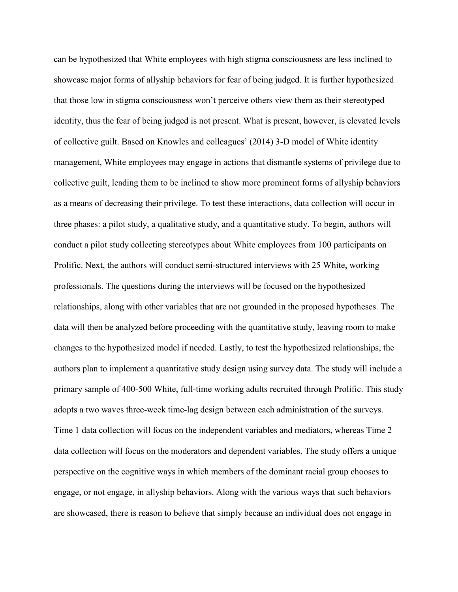as a means of decreasing their privilege. To test these interactions, data collection will occur in engage, or not engage, in allyship behaviors. Along with the various ways that such behaviors can be hypothesized that White employees with high stigma consciousness are less inclined to showcase major forms of allyship behaviors for fear of being judged. It is further hypothesized that those low in stigma consciousness won't perceive others view them as their stereotyped identity, thus the fear of being judged is not present. What is present, however, is elevated levels of collective guilt. Based on Knowles and colleagues' (2014) 3-D model of White identity management, White employees may engage in actions that dismantle systems of privilege due to collective guilt, leading them to be inclined to show more prominent forms of allyship behaviors three phases: a pilot study, a qualitative study, and a quantitative study. To begin, authors will conduct a pilot study collecting stereotypes about White employees from 100 participants on Prolific. Next, the authors will conduct semi-structured interviews with 25 White, working professionals. The questions during the interviews will be focused on the hypothesized relationships, along with other variables that are not grounded in the proposed hypotheses. The data will then be analyzed before proceeding with the quantitative study, leaving room to make changes to the hypothesized model if needed. Lastly, to test the hypothesized relationships, the authors plan to implement a quantitative study design using survey data. The study will include a primary sample of 400-500 White, full-time working adults recruited through Prolific. This study adopts a two waves three-week time-lag design between each administration of the surveys. Time 1 data collection will focus on the independent variables and mediators, whereas Time 2 data collection will focus on the moderators and dependent variables. The study offers a unique perspective on the cognitive ways in which members of the dominant racial group chooses to are showcased, there is reason to believe that simply because an individual does not engage in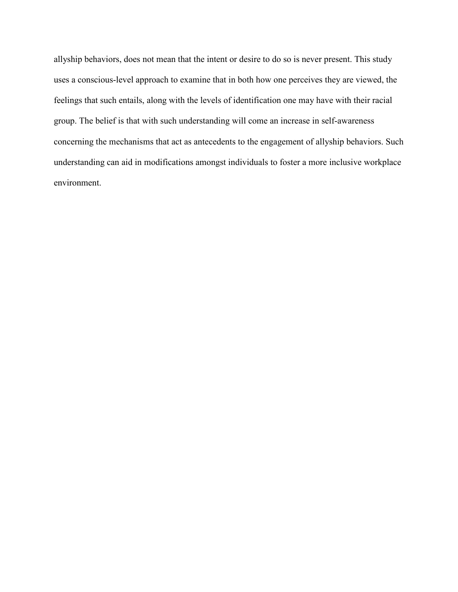allyship behaviors, does not mean that the intent or desire to do so is never present. This study uses a conscious-level approach to examine that in both how one perceives they are viewed, the feelings that such entails, along with the levels of identification one may have with their racial group. The belief is that with such understanding will come an increase in self-awareness concerning the mechanisms that act as antecedents to the engagement of allyship behaviors. Such understanding can aid in modifications amongst individuals to foster a more inclusive workplace environment.